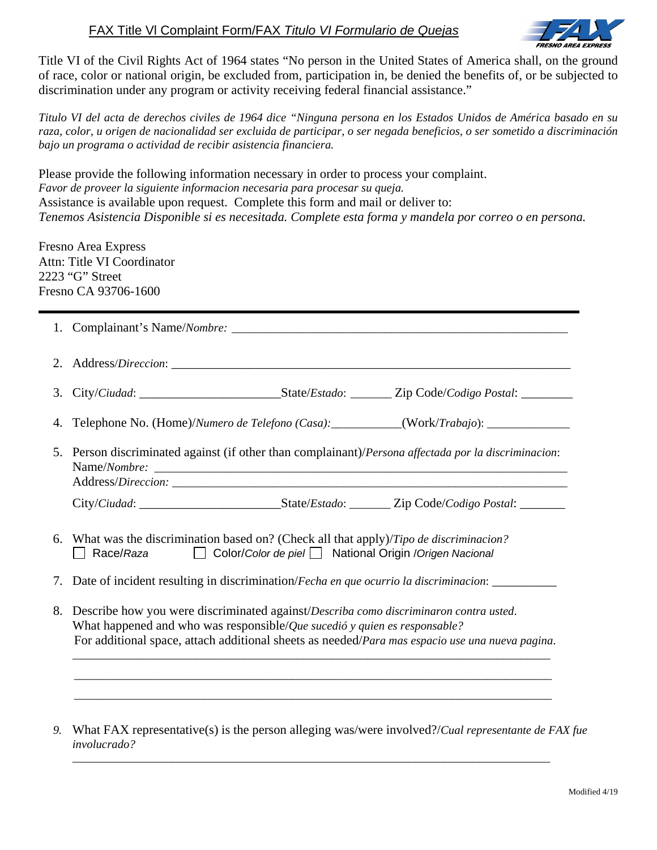## FAX Title Vl Complaint Form/FAX *Titulo VI Formulario de Quejas*



Title VI of the Civil Rights Act of 1964 states "No person in the United States of America shall, on the ground of race, color or national origin, be excluded from, participation in, be denied the benefits of, or be subjected to discrimination under any program or activity receiving federal financial assistance."

*Titulo VI del acta de derechos civiles de 1964 dice "Ninguna persona en los Estados Unidos de América basado en su raza, color, u origen de nacionalidad ser excluida de participar, o ser negada beneficios, o ser sometido a discriminación bajo un programa o actividad de recibir asistencia financiera.* 

Please provide the following information necessary in order to process your complaint. *Favor de proveer la siguiente informacion necesaria para procesar su queja.*  Assistance is available upon request. Complete this form and mail or deliver to: *Tenemos Asistencia Disponible si es necesitada. Complete esta forma y mandela por correo o en persona.* 

Fresno Area Express Attn: Title VI Coordinator 2223 "G" Street Fresno CA 93706-1600

|    | 3. City/Ciudad: ______________________________State/Estado: _________Zip Code/Codigo Postal: _____________                                                                                                                                                                    |
|----|-------------------------------------------------------------------------------------------------------------------------------------------------------------------------------------------------------------------------------------------------------------------------------|
|    | 4. Telephone No. (Home)/Numero de Telefono (Casa): __________(Work/Trabajo): _______________________                                                                                                                                                                          |
|    | 5. Person discriminated against (if other than complainant)/Persona affectada por la discriminacion:                                                                                                                                                                          |
|    | City/Ciudad: ________________________________State/Estado: ________Zip Code/Codigo Postal: ________                                                                                                                                                                           |
|    | 6. What was the discrimination based on? (Check all that apply)/Tipo de discriminacion?<br>Color/Color de piel National Origin / Origen Nacional<br>Race/Raza                                                                                                                 |
|    | 7. Date of incident resulting in discrimination/Fecha en que ocurrio la discriminacion: ___________                                                                                                                                                                           |
| 8. | Describe how you were discriminated against/Describa como discriminaron contra usted.<br>What happened and who was responsible/ <i>Que sucedió y quien es responsable?</i><br>For additional space, attach additional sheets as needed/Para mas espacio use una nueva pagina. |
|    |                                                                                                                                                                                                                                                                               |

*9.* What FAX representative(s) is the person alleging was/were involved?/*Cual representante de FAX fue involucrado?* 

\_\_\_\_\_\_\_\_\_\_\_\_\_\_\_\_\_\_\_\_\_\_\_\_\_\_\_\_\_\_\_\_\_\_\_\_\_\_\_\_\_\_\_\_\_\_\_\_\_\_\_\_\_\_\_\_\_\_\_\_\_\_\_\_\_\_\_\_\_\_\_\_\_\_\_\_\_\_\_\_\_